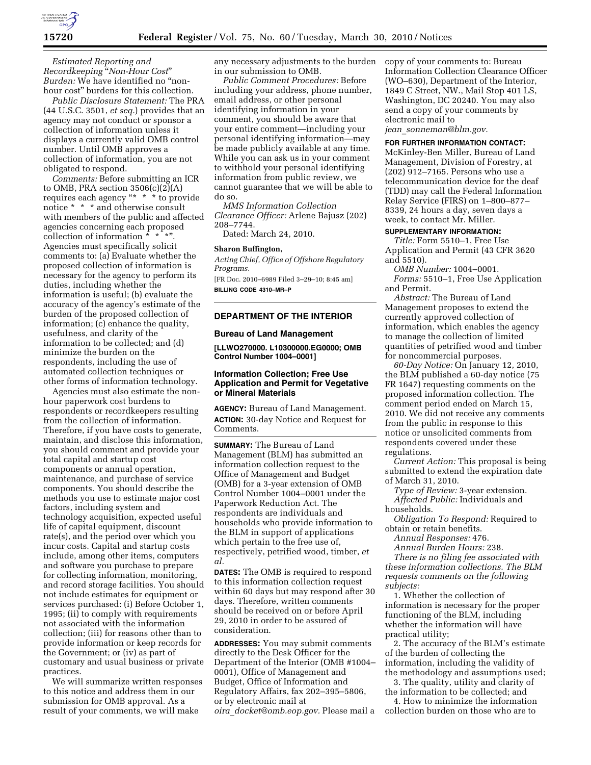

*Estimated Reporting and Recordkeeping* ''*Non-Hour Cost*'' *Burden:* We have identified no ''nonhour cost'' burdens for this collection.

*Public Disclosure Statement:* The PRA (44 U.S.C. 3501, *et seq.*) provides that an agency may not conduct or sponsor a collection of information unless it displays a currently valid OMB control number. Until OMB approves a collection of information, you are not obligated to respond.

*Comments:* Before submitting an ICR to OMB, PRA section  $3506(c)(2)(A)$ requires each agency "\*  $*$  \* to provide notice \* \* \* and otherwise consult with members of the public and affected agencies concerning each proposed collection of information \* \* \*''. Agencies must specifically solicit comments to: (a) Evaluate whether the proposed collection of information is necessary for the agency to perform its duties, including whether the information is useful; (b) evaluate the accuracy of the agency's estimate of the burden of the proposed collection of information; (c) enhance the quality, usefulness, and clarity of the information to be collected; and (d) minimize the burden on the respondents, including the use of automated collection techniques or other forms of information technology.

Agencies must also estimate the nonhour paperwork cost burdens to respondents or recordkeepers resulting from the collection of information. Therefore, if you have costs to generate, maintain, and disclose this information, you should comment and provide your total capital and startup cost components or annual operation, maintenance, and purchase of service components. You should describe the methods you use to estimate major cost factors, including system and technology acquisition, expected useful life of capital equipment, discount rate(s), and the period over which you incur costs. Capital and startup costs include, among other items, computers and software you purchase to prepare for collecting information, monitoring, and record storage facilities. You should not include estimates for equipment or services purchased: (i) Before October 1, 1995; (ii) to comply with requirements not associated with the information collection; (iii) for reasons other than to provide information or keep records for the Government; or (iv) as part of customary and usual business or private practices.

We will summarize written responses to this notice and address them in our submission for OMB approval. As a result of your comments, we will make

any necessary adjustments to the burden in our submission to OMB.

*Public Comment Procedures:* Before including your address, phone number, email address, or other personal identifying information in your comment, you should be aware that your entire comment—including your personal identifying information—may be made publicly available at any time. While you can ask us in your comment to withhold your personal identifying information from public review, we cannot guarantee that we will be able to do so.

*MMS Information Collection Clearance Officer:* Arlene Bajusz (202) 208–7744.

Dated: March 24, 2010.

## **Sharon Buffington,**

*Acting Chief, Office of Offshore Regulatory Programs.* 

[FR Doc. 2010–6989 Filed 3–29–10; 8:45 am] **BILLING CODE 4310–MR–P** 

# **DEPARTMENT OF THE INTERIOR**

### **Bureau of Land Management**

**[LLWO270000. L10300000.EG0000; OMB Control Number 1004–0001]** 

# **Information Collection; Free Use Application and Permit for Vegetative or Mineral Materials**

**AGENCY:** Bureau of Land Management. **ACTION:** 30-day Notice and Request for Comments.

**SUMMARY:** The Bureau of Land Management (BLM) has submitted an information collection request to the Office of Management and Budget (OMB) for a 3-year extension of OMB Control Number 1004–0001 under the Paperwork Reduction Act. The respondents are individuals and households who provide information to the BLM in support of applications which pertain to the free use of, respectively, petrified wood, timber, *et al.* 

**DATES:** The OMB is required to respond to this information collection request within 60 days but may respond after 30 days. Therefore, written comments should be received on or before April 29, 2010 in order to be assured of consideration.

**ADDRESSES:** You may submit comments directly to the Desk Officer for the Department of the Interior (OMB #1004– 0001), Office of Management and Budget, Office of Information and Regulatory Affairs, fax 202–395–5806, or by electronic mail at *oira*\_*docket@omb.eop.gov.* Please mail a

copy of your comments to: Bureau Information Collection Clearance Officer (WO–630), Department of the Interior, 1849 C Street, NW., Mail Stop 401 LS, Washington, DC 20240. You may also send a copy of your comments by electronic mail to *jean*\_*sonneman@blm.gov.* 

**FOR FURTHER INFORMATION CONTACT:** 

McKinley-Ben Miller, Bureau of Land Management, Division of Forestry, at (202) 912–7165. Persons who use a telecommunication device for the deaf (TDD) may call the Federal Information Relay Service (FIRS) on 1–800–877– 8339, 24 hours a day, seven days a week, to contact Mr. Miller.

# **SUPPLEMENTARY INFORMATION:**

*Title:* Form 5510–1, Free Use Application and Permit (43 CFR 3620 and 5510).

*OMB Number:* 1004–0001. *Forms:* 5510–1, Free Use Application and Permit.

*Abstract:* The Bureau of Land Management proposes to extend the currently approved collection of information, which enables the agency to manage the collection of limited quantities of petrified wood and timber for noncommercial purposes.

*60-Day Notice:* On January 12, 2010, the BLM published a 60-day notice (75 FR 1647) requesting comments on the proposed information collection. The comment period ended on March 15, 2010. We did not receive any comments from the public in response to this notice or unsolicited comments from respondents covered under these regulations.

*Current Action:* This proposal is being submitted to extend the expiration date of March 31, 2010.

*Type of Review:* 3-year extension. *Affected Public:* Individuals and households.

*Obligation To Respond:* Required to obtain or retain benefits.

*Annual Responses:* 476.

*Annual Burden Hours:* 238.

*There is no filing fee associated with these information collections. The BLM requests comments on the following subjects:* 

1. Whether the collection of information is necessary for the proper functioning of the BLM, including whether the information will have practical utility;

2. The accuracy of the BLM's estimate of the burden of collecting the information, including the validity of the methodology and assumptions used;

3. The quality, utility and clarity of the information to be collected; and

4. How to minimize the information collection burden on those who are to